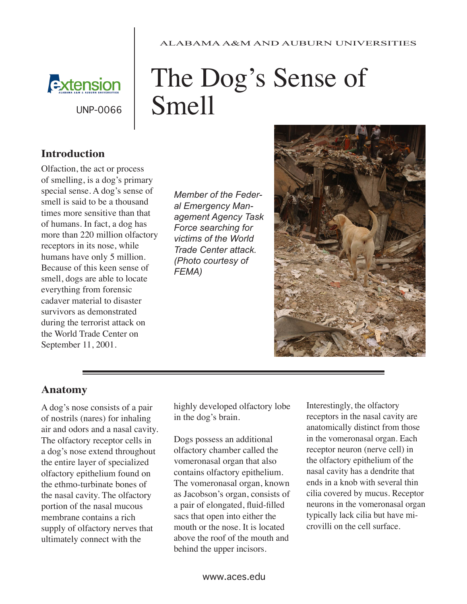#### ALABAMA A&M AND AUBURN UNIVERSITIES



UNP-0066

# The Dog's Sense of Smell

### **Introduction**

Olfaction, the act or process of smelling, is a dog's primary special sense. A dog's sense of smell is said to be a thousand times more sensitive than that of humans. In fact, a dog has more than 220 million olfactory receptors in its nose, while humans have only 5 million. Because of this keen sense of smell, dogs are able to locate everything from forensic cadaver material to disaster survivors as demonstrated during the terrorist attack on the World Trade Center on September 11, 2001.

*Member of the Federal Emergency Management Agency Task Force searching for victims of the World Trade Center attack. (Photo courtesy of FEMA)*



#### **Anatomy**

A dog's nose consists of a pair of nostrils (nares) for inhaling air and odors and a nasal cavity. The olfactory receptor cells in a dog's nose extend throughout the entire layer of specialized olfactory epithelium found on the ethmo-turbinate bones of the nasal cavity. The olfactory portion of the nasal mucous membrane contains a rich supply of olfactory nerves that ultimately connect with the

highly developed olfactory lobe in the dog's brain.

Dogs possess an additional olfactory chamber called the vomeronasal organ that also contains olfactory epithelium. The vomeronasal organ, known as Jacobson's organ, consists of a pair of elongated, fluid-filled sacs that open into either the mouth or the nose. It is located above the roof of the mouth and behind the upper incisors.

Interestingly, the olfactory receptors in the nasal cavity are anatomically distinct from those in the vomeronasal organ. Each receptor neuron (nerve cell) in the olfactory epithelium of the nasal cavity has a dendrite that ends in a knob with several thin cilia covered by mucus. Receptor neurons in the vomeronasal organ typically lack cilia but have microvilli on the cell surface.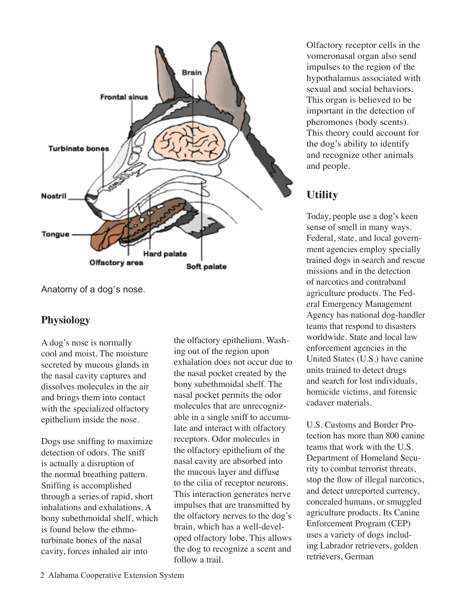

Anatomy of a dog's nose.

#### **Physiology**

A dog's nose is normally cool and moist. The moisture secreted by mucous glands in the nasal cavity captures and dissolves molecules in the air and brings them into contact with the specialized olfactory epithelium inside the nose.

Dogs use sniffing to maximize detection of odors. The sniff is actually a disruption of the normal breathing pattern. Sniffing is accomplished through a series of rapid, short inhalations and exhalations. A bony subethmoidal shelf, which is found below the ethmoturbinate bones of the nasal cavity, forces inhaled air into

the olfactory epithelium. Washing out of the region upon exhalation does not occur due to the nasal pocket created by the bony subethmoidal shelf. The nasal pocket permits the odor molecules that are unrecognizable in a single sniff to accumulate and interact with olfactory receptors. Odor molecules in the olfactory epithelium of the nasal cavity are absorbed into the mucous layer and diffuse to the cilia of receptor neurons. This interaction generates nerve impulses that are transmitted by the olfactory nerves to the dog's brain, which has a well-developed olfactory lobe. This allows the dog to recognize a scent and follow a trail.

Olfactory receptor cells in the vomeronasal organ also send impulses to the region of the hypothalamus associated with sexual and social behaviors. This organ is believed to be important in the detection of pheromones (body scents). This theory could account for the dog's ability to identify and recognize other animals and people.

## **Utility**

Today, people use a dog's keen sense of smell in many ways. Federal, state, and local government agencies employ specially trained dogs in search and rescue missions and in the detection of narcotics and contraband agriculture products. The Federal Emergency Management Agency has national dog-handler teams that respond to disasters worldwide. State and local law enforcement agencies in the United States (U.S.) have canine units trained to detect drugs and search for lost individuals, homicide victims, and forensic cadaver materials.

U.S. Customs and Border Protection has more than 800 canine teams that work with the U.S. Department of Homeland Security to combat terrorist threats, stop the flow of illegal narcotics, and detect unreported currency, concealed humans, or smuggled agriculture products. Its Canine Enforcement Program (CEP) uses a variety of dogs including Labrador retrievers, golden retrievers, German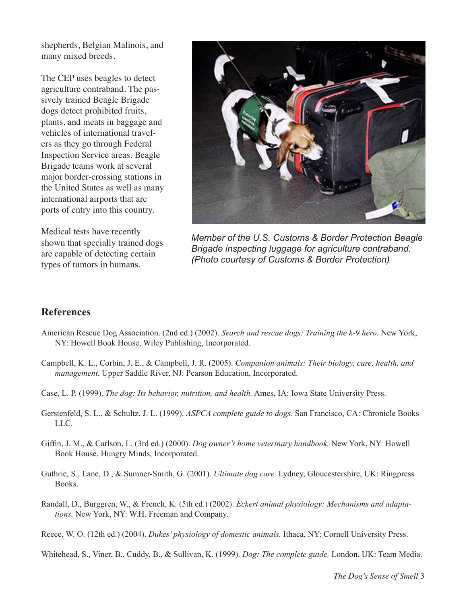shepherds, Belgian Malinois, and many mixed breeds.

The CEP uses beagles to detect agriculture contraband. The passively trained Beagle Brigade dogs detect prohibited fruits, plants, and meats in baggage and vehicles of international travelers as they go through Federal Inspection Service areas. Beagle Brigade teams work at several major border-crossing stations in the United States as well as many international airports that are ports of entry into this country.

Medical tests have recently shown that specially trained dogs are capable of detecting certain types of tumors in humans.



*Member of the U.S. Customs & Border Protection Beagle Brigade inspecting luggage for agriculture contraband. (Photo courtesy of Customs & Border Protection)*

#### **References**

- American Rescue Dog Association. (2nd ed.) (2002). *Search and rescue dogs: Training the k-9 hero.* New York, NY: Howell Book House, Wiley Publishing, Incorporated.
- Campbell, K. L., Corbin, J. E., & Campbell, J. R. (2005). *Companion animals: Their biology, care, health, and management.* Upper Saddle River, NJ: Pearson Education, Incorporated.
- Case, L. P. (1999). *The dog: Its behavior, nutrition, and health.* Ames, IA: Iowa State University Press.
- Gerstenfeld, S. L., & Schultz, J. L. (1999). *ASPCA complete guide to dogs.* San Francisco, CA: Chronicle Books LLC.
- Giffin, J. M., & Carlson, L. (3rd ed.) (2000). *Dog owner's home veterinary handbook.* New York, NY: Howell Book House, Hungry Minds, Incorporated.
- Guthrie, S., Lane, D., & Sumner-Smith, G. (2001). *Ultimate dog care.* Lydney, Gloucestershire, UK: Ringpress Books.
- Randall, D., Burggren, W., & French, K. (5th ed.) (2002). *Eckert animal physiology: Mechanisms and adaptations.* New York, NY: W.H. Freeman and Company.

Reece, W. O. (12th ed.) (2004). *Dukes' physiology of domestic animals.* Ithaca, NY: Cornell University Press.

Whitehead, S., Viner, B., Cuddy, B., & Sullivan, K. (1999). *Dog: The complete guide.* London, UK: Team Media.